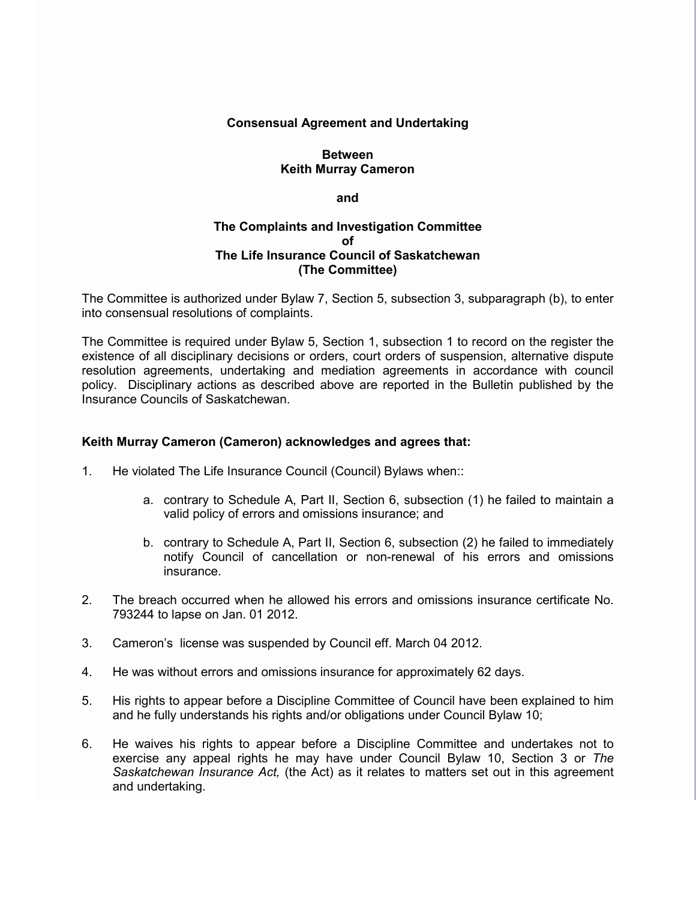## **Consensual Agreement and Undertaking**

# **Between Keith Murray Cameron**

**and**

## **The Complaints and Investigation Committee of The Life Insurance Council of Saskatchewan (The Committee)**

The Committee is authorized under Bylaw 7, Section 5, subsection 3, subparagraph (b), to enter into consensual resolutions of complaints.

The Committee is required under Bylaw 5, Section 1, subsection 1 to record on the register the existence of all disciplinary decisions or orders, court orders of suspension, alternative dispute resolution agreements, undertaking and mediation agreements in accordance with council policy. Disciplinary actions as described above are reported in the Bulletin published by the Insurance Councils of Saskatchewan.

## **Keith Murray Cameron (Cameron) acknowledges and agrees that:**

- 1. He violated The Life Insurance Council (Council) Bylaws when::
	- a. contrary to Schedule A, Part II, Section 6, subsection (1) he failed to maintain a valid policy of errors and omissions insurance; and
	- b. contrary to Schedule A, Part II, Section 6, subsection (2) he failed to immediately notify Council of cancellation or non-renewal of his errors and omissions insurance.
- 2. The breach occurred when he allowed his errors and omissions insurance certificate No. 793244 to lapse on Jan. 01 2012.
- 3. Cameron's license was suspended by Council eff. March 04 2012.
- 4. He was without errors and omissions insurance for approximately 62 days.
- 5. His rights to appear before a Discipline Committee of Council have been explained to him and he fully understands his rights and/or obligations under Council Bylaw 10;
- 6. He waives his rights to appear before a Discipline Committee and undertakes not to exercise any appeal rights he may have under Council Bylaw 10, Section 3 or *The Saskatchewan Insurance Act,* (the Act) as it relates to matters set out in this agreement and undertaking.